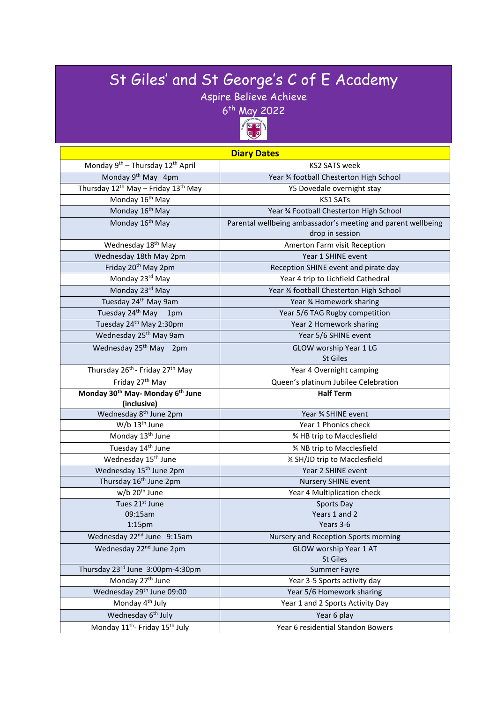## St Giles' and St George's C of E Academy

Aspire Believe Achieve



| <b>Diary Dates</b>                                                   |                                                              |
|----------------------------------------------------------------------|--------------------------------------------------------------|
| Monday 9 <sup>th</sup> – Thursday 12 <sup>th</sup> April             | <b>KS2 SATS week</b>                                         |
| Monday 9 <sup>th</sup> May 4pm                                       | Year % football Chesterton High School                       |
| Thursday 12 <sup>th</sup> May - Friday 13 <sup>th</sup> May          | Y5 Dovedale overnight stay                                   |
| Monday 16 <sup>th</sup> May                                          | <b>KS1 SATs</b>                                              |
| Monday 16 <sup>th</sup> May                                          | Year % Football Chesterton High School                       |
| Monday 16 <sup>th</sup> May                                          | Parental wellbeing ambassador's meeting and parent wellbeing |
|                                                                      | drop in session                                              |
| Wednesday 18 <sup>th</sup> May                                       | Amerton Farm visit Reception                                 |
| Wednesday 18th May 2pm                                               | Year 1 SHINE event                                           |
| Friday 20 <sup>th</sup> May 2pm                                      | Reception SHINE event and pirate day                         |
| Monday 23rd May                                                      | Year 4 trip to Lichfield Cathedral                           |
| Monday 23rd May                                                      | Year % football Chesterton High School                       |
| Tuesday 24 <sup>th</sup> May 9am                                     | Year % Homework sharing                                      |
| Tuesday 24 <sup>th</sup> May 1pm                                     | Year 5/6 TAG Rugby competition                               |
| Tuesday 24 <sup>th</sup> May 2:30pm                                  | Year 2 Homework sharing                                      |
| Wednesday 25 <sup>th</sup> May 9am                                   | Year 5/6 SHINE event                                         |
| Wednesday 25 <sup>th</sup> May 2pm                                   | GLOW worship Year 1 LG                                       |
|                                                                      | <b>St Giles</b>                                              |
| Thursday 26 <sup>th</sup> - Friday 27 <sup>th</sup> May              | Year 4 Overnight camping                                     |
| Friday 27 <sup>th</sup> May                                          | Queen's platinum Jubilee Celebration                         |
|                                                                      |                                                              |
| Monday 30 <sup>th</sup> May- Monday 6 <sup>th</sup> June             | <b>Half Term</b>                                             |
| (inclusive)                                                          |                                                              |
| Wednesday 8 <sup>th</sup> June 2pm                                   | Year % SHINE event                                           |
| W/b 13 <sup>th</sup> June                                            | Year 1 Phonics check                                         |
| Monday 13 <sup>th</sup> June                                         | % HB trip to Macclesfield                                    |
| Tuesday 14 <sup>th</sup> June                                        | % NB trip to Macclesfield                                    |
| Wednesday 15 <sup>th</sup> June                                      | % SH/JD trip to Macclesfield                                 |
| Wednesday 15 <sup>th</sup> June 2pm                                  | Year 2 SHINE event                                           |
| Thursday 16 <sup>th</sup> June 2pm                                   | Nursery SHINE event                                          |
| w/b 20 <sup>th</sup> June                                            | Year 4 Multiplication check                                  |
| Tues 21st June                                                       | Sports Day                                                   |
| 09:15am                                                              | Years 1 and 2                                                |
| 1:15 <sub>pm</sub>                                                   | Years 3-6                                                    |
| Wednesday 22 <sup>nd</sup> June 9:15am                               | Nursery and Reception Sports morning                         |
| Wednesday 22 <sup>nd</sup> June 2pm                                  | GLOW worship Year 1 AT                                       |
| Thursday 23rd June 3:00pm-4:30pm                                     | St Giles<br><b>Summer Fayre</b>                              |
| Monday 27 <sup>th</sup> June                                         | Year 3-5 Sports activity day                                 |
|                                                                      | Year 5/6 Homework sharing                                    |
| Wednesday 29 <sup>th</sup> June 09:00<br>Monday 4 <sup>th</sup> July | Year 1 and 2 Sports Activity Day                             |
| Wednesday 6 <sup>th</sup> July                                       | Year 6 play                                                  |